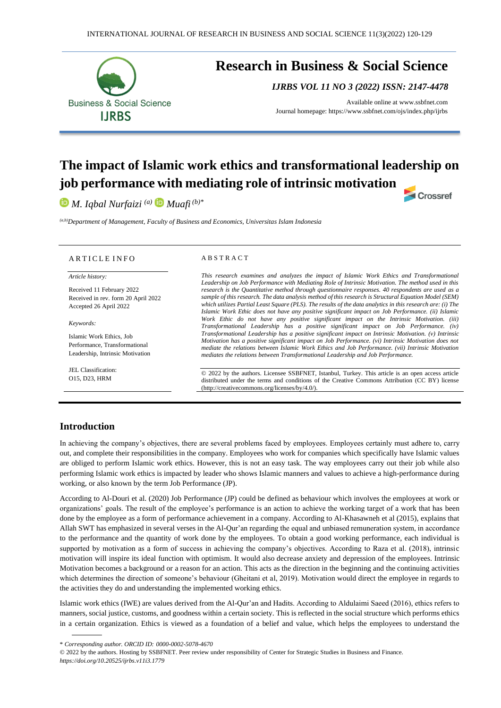

# **Research in Business & Social Science**

*IJRBS VOL 11 NO 3 (2022) ISSN: 2147-4478*

Available online at [www.ssbfnet.com](http://www.ssbfnet.com/) Journal homepage: https://www.ssbfnet.com/ojs/index.php/ijrbs

Crossref

# **The impact of Islamic work ethics and transformational leadership on job performance with mediating role of intrinsic motivation**

*M. Iqbal Nurfaizi (a) Muafi (b)\**

*(a,b)Department of Management, Faculty of Business and Economics, Universitas Islam Indonesia*

#### ARTICLE INFO

*Article history:* 

Received 11 February 2022 Received in rev. form 20 April 2022 Accepted 26 April 2022

*Keywords:*

Islamic Work Ethics, Job Performance, Transformational Leadership, Intrinsic Motivation

JEL Classification: O15, D23, HRM

#### A B S T R A C T

*This research examines and analyzes the impact of Islamic Work Ethics and Transformational Leadership on Job Performance with Mediating Role of Intrinsic Motivation. The method used in this research is the Quantitative method through questionnaire responses. 40 respondents are used as a sample of this research. The data analysis method of this research is Structural Equation Model (SEM) which utilizes Partial Least Square (PLS). The results of the data analytics in this research are: (i) The Islamic Work Ethic does not have any positive significant impact on Job Performance. (ii) Islamic Work Ethic do not have any positive significant impact on the Intrinsic Motivation. (iii) Transformational Leadership has a positive significant impact on Job Performance. (iv) Transformational Leadership has a positive significant impact on Intrinsic Motivation. (v) Intrinsic Motivation has a positive significant impact on Job Performance. (vi) Intrinsic Motivation does not mediate the relations between Islamic Work Ethics and Job Performance. (vii) Intrinsic Motivation mediates the relations between Transformational Leadership and Job Performance.*

© 2022 by the authors. Licensee SSBFNET, Istanbul, Turkey. This article is an open access article distributed under the terms and conditions of the Creative Commons Attribution (CC BY) license (http://creativecommons.org/licenses/by/4.0/).

# **Introduction**

In achieving the company's objectives, there are several problems faced by employees. Employees certainly must adhere to, carry out, and complete their responsibilities in the company. Employees who work for companies which specifically have Islamic values are obliged to perform Islamic work ethics. However, this is not an easy task. The way employees carry out their job while also performing Islamic work ethics is impacted by leader who shows Islamic manners and values to achieve a high-performance during working, or also known by the term Job Performance (JP).

According to Al-Douri et al. (2020) Job Performance (JP) could be defined as behaviour which involves the employees at work or organizations' goals. The result of the employee's performance is an action to achieve the working target of a work that has been done by the employee as a form of performance achievement in a company. According to Al-Khasawneh et al (2015), explains that Allah SWT has emphasized in several verses in the Al-Qur'an regarding the equal and unbiased remuneration system, in accordance to the performance and the quantity of work done by the employees. To obtain a good working performance, each individual is supported by motivation as a form of success in achieving the company's objectives. According to Raza et al. (2018), intrinsic motivation will inspire its ideal function with optimism. It would also decrease anxiety and depression of the employees. Intrinsic Motivation becomes a background or a reason for an action. This acts as the direction in the beginning and the continuing activities which determines the direction of someone's behaviour (Gheitani et al, 2019). Motivation would direct the employee in regards to the activities they do and understanding the implemented working ethics.

Islamic work ethics (IWE) are values derived from the Al-Qur'an and Hadits. According to Aldulaimi Saeed (2016), ethics refers to manners, social justice, customs, and goodness within a certain society. This is reflected in the social structure which performs ethics in a certain organization. Ethics is viewed as a foundation of a belief and value, which helps the employees to understand the

\* *Corresponding author. ORCID ID: 0000-0002-5078-4670*

© 2022 by the authors. Hosting by SSBFNET. Peer review under responsibility of Center for Strategic Studies in Business and Finance. *<https://doi.org/10.20525/ijrbs.v11i3.1779>*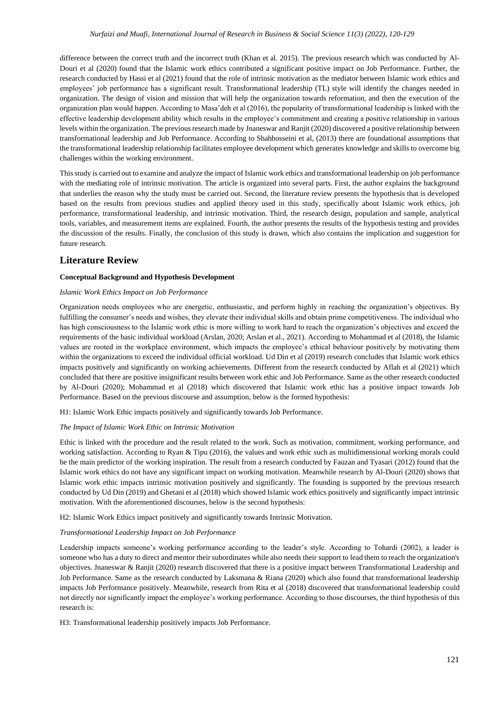difference between the correct truth and the incorrect truth (Khan et al. 2015). The previous research which was conducted by Al-Douri et al (2020) found that the Islamic work ethics contributed a significant positive impact on Job Performance. Further, the research conducted by Hassi et al (2021) found that the role of intrinsic motivation as the mediator between Islamic work ethics and employees' job performance has a significant result. Transformational leadership (TL) style will identify the changes needed in organization. The design of vision and mission that will help the organization towards reformation, and then the execution of the organization plan would happen. According to Masa'deh et al (2016), the popularity of transformational leadership is linked with the effective leadership development ability which results in the employee's commitment and creating a positive relationship in various levels within the organization. The previous research made by Jnaneswar and Ranjit (2020) discovered a positive relationship between transformational leadership and Job Performance. According to Shahhosseini et al, (2013) there are foundational assumptions that the transformational leadership relationship facilitates employee development which generates knowledge and skills to overcome big challenges within the working environment.

This study is carried out to examine and analyze the impact of Islamic work ethics and transformational leadership on job performance with the mediating role of intrinsic motivation. The article is organized into several parts. First, the author explains the background that underlies the reason why the study must be carried out. Second, the literature review presents the hypothesis that is developed based on the results from previous studies and applied theory used in this study, specifically about Islamic work ethics, job performance, transformational leadership, and intrinsic motivation. Third, the research design, population and sample, analytical tools, variables, and measurement items are explained. Fourth, the author presents the results of the hypothesis testing and provides the discussion of the results. Finally, the conclusion of this study is drawn, which also contains the implication and suggestion for future research.

# **Literature Review**

## **Conceptual Background and Hypothesis Development**

### *Islamic Work Ethics Impact on Job Performance*

Organization needs employees who are energetic, enthusiastic, and perform highly in reaching the organization's objectives. By fulfilling the consumer's needs and wishes, they elevate their individual skills and obtain prime competitiveness. The individual who has high consciousness to the Islamic work ethic is more willing to work hard to reach the organization's objectives and exceed the requirements of the basic individual workload (Arslan, 2020; Arslan et al., 2021). According to Mohammad et al (2018), the Islamic values are rooted in the workplace environment, which impacts the employee's ethical behaviour positively by motivating them within the organizations to exceed the individual official workload. Ud Din et al (2019) research concludes that Islamic work ethics impacts positively and significantly on working achievements. Different from the research conducted by Aflah et al (2021) which concluded that there are positive insignificant results between work ethic and Job Performance. Same as the other research conducted by Al-Douri (2020); Mohammad et al (2018) which discovered that Islamic work ethic has a positive impact towards Job Performance. Based on the previous discourse and assumption, below is the formed hypothesis:

H1: Islamic Work Ethic impacts positively and significantly towards Job Performance.

#### *The Impact of Islamic Work Ethic on Intrinsic Motivation*

Ethic is linked with the procedure and the result related to the work. Such as motivation, commitment, working performance, and working satisfaction. According to Ryan & Tipu (2016), the values and work ethic such as multidimensional working morals could be the main predictor of the working inspiration. The result from a research conducted by Fauzan and Tyasari (2012) found that the Islamic work ethics do not have any significant impact on working motivation. Meanwhile research by Al-Douri (2020) shows that Islamic work ethic impacts intrinsic motivation positively and significantly. The founding is supported by the previous research conducted by Ud Din (2019) and Ghetani et al (2018) which showed Islamic work ethics positively and significantly impact intrinsic motivation. With the aforementioned discourses, below is the second hypothesis:

H2: Islamic Work Ethics impact positively and significantly towards Intrinsic Motivation.

#### *Transformational Leadership Impact on Job Performance*

Leadership impacts someone's working performance according to the leader's style. According to Tohardi (2002), a leader is someone who has a duty to direct and mentor their subordinates while also needs their support to lead them to reach the organization's objectives. Jnaneswar & Ranjit (2020) research discovered that there is a positive impact between Transformational Leadership and Job Performance. Same as the research conducted by Laksmana & Riana (2020) which also found that transformational leadership impacts Job Performance positively. Meanwhile, research from Rita et al (2018) discovered that transformational leadership could not directly nor significantly impact the employee's working performance. According to those discourses, the third hypothesis of this research is:

H3: Transformational leadership positively impacts Job Performance.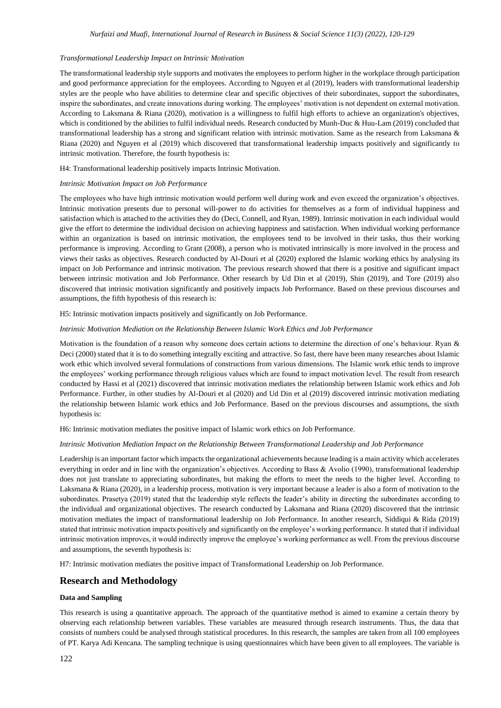#### *Transformational Leadership Impact on Intrinsic Motivation*

The transformational leadership style supports and motivates the employees to perform higher in the workplace through participation and good performance appreciation for the employees. According to Nguyen et al (2019), leaders with transformational leadership styles are the people who have abilities to determine clear and specific objectives of their subordinates, support the subordinates, inspire the subordinates, and create innovations during working. The employees' motivation is not dependent on external motivation. According to Laksmana & Riana (2020), motivation is a willingness to fulfil high efforts to achieve an organization's objectives, which is conditioned by the abilities to fulfil individual needs. Research conducted by Munh-Duc & Huu-Lam (2019) concluded that transformational leadership has a strong and significant relation with intrinsic motivation. Same as the research from Laksmana & Riana (2020) and Nguyen et al (2019) which discovered that transformational leadership impacts positively and significantly to intrinsic motivation. Therefore, the fourth hypothesis is:

H4: Transformational leadership positively impacts Intrinsic Motivation.

#### *Intrinsic Motivation Impact on Job Performance*

The employees who have high intrinsic motivation would perform well during work and even exceed the organization's objectives. Intrinsic motivation presents due to personal will-power to do activities for themselves as a form of individual happiness and satisfaction which is attached to the activities they do (Deci, Connell, and Ryan, 1989). Intrinsic motivation in each individual would give the effort to determine the individual decision on achieving happiness and satisfaction. When individual working performance within an organization is based on intrinsic motivation, the employees tend to be involved in their tasks, thus their working performance is improving. According to Grant (2008), a person who is motivated intrinsically is more involved in the process and views their tasks as objectives. Research conducted by Al-Douri et al (2020) explored the Islamic working ethics by analysing its impact on Job Performance and intrinsic motivation. The previous research showed that there is a positive and significant impact between intrinsic motivation and Job Performance. Other research by Ud Din et al (2019), Shin (2019), and Tore (2019) also discovered that intrinsic motivation significantly and positively impacts Job Performance. Based on these previous discourses and assumptions, the fifth hypothesis of this research is:

H5: Intrinsic motivation impacts positively and significantly on Job Performance.

#### *Intrinsic Motivation Mediation on the Relationship Between Islamic Work Ethics and Job Performance*

Motivation is the foundation of a reason why someone does certain actions to determine the direction of one's behaviour. Ryan & Deci (2000) stated that it is to do something integrally exciting and attractive. So fast, there have been many researches about Islamic work ethic which involved several formulations of constructions from various dimensions. The Islamic work ethic tends to improve the employees' working performance through religious values which are found to impact motivation level. The result from research conducted by Hassi et al (2021) discovered that intrinsic motivation mediates the relationship between Islamic work ethics and Job Performance. Further, in other studies by Al-Douri et al (2020) and Ud Din et al (2019) discovered intrinsic motivation mediating the relationship between Islamic work ethics and Job Performance. Based on the previous discourses and assumptions, the sixth hypothesis is:

H6: Intrinsic motivation mediates the positive impact of Islamic work ethics on Job Performance.

#### *Intrinsic Motivation Mediation Impact on the Relationship Between Transformational Leadership and Job Performance*

Leadership is an important factor which impacts the organizational achievements because leading is a main activity which accelerates everything in order and in line with the organization's objectives. According to Bass & Avolio (1990), transformational leadership does not just translate to appreciating subordinates, but making the efforts to meet the needs to the higher level. According to Laksmana & Riana (2020), in a leadership process, motivation is very important because a leader is also a form of motivation to the subordinates. Prasetya (2019) stated that the leadership style reflects the leader's ability in directing the subordinates according to the individual and organizational objectives. The research conducted by Laksmana and Riana (2020) discovered that the intrinsic motivation mediates the impact of transformational leadership on Job Performance. In another research, Siddiqui & Rida (2019) stated that intrinsic motivation impacts positively and significantly on the employee's working performance. It stated that if individual intrinsic motivation improves, it would indirectly improve the employee's working performance as well. From the previous discourse and assumptions, the seventh hypothesis is:

H7: Intrinsic motivation mediates the positive impact of Transformational Leadership on Job Performance.

# **Research and Methodology**

### **Data and Sampling**

This research is using a quantitative approach. The approach of the quantitative method is aimed to examine a certain theory by observing each relationship between variables. These variables are measured through research instruments. Thus, the data that consists of numbers could be analysed through statistical procedures. In this research, the samples are taken from all 100 employees of PT. Karya Adi Kencana. The sampling technique is using questionnaires which have been given to all employees. The variable is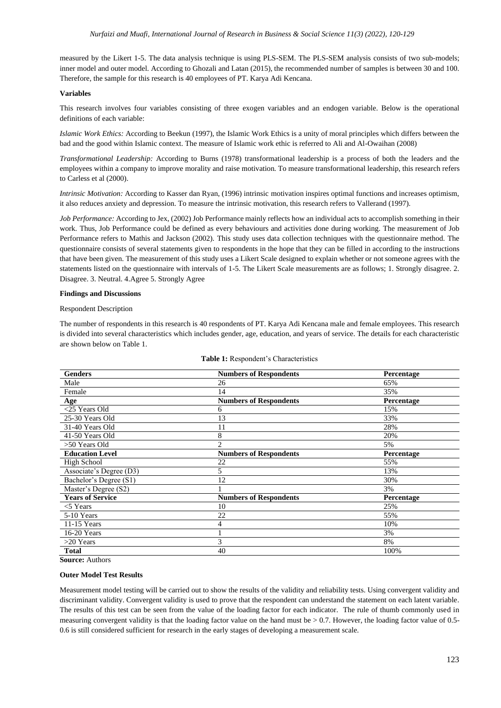measured by the Likert 1-5. The data analysis technique is using PLS-SEM. The PLS-SEM analysis consists of two sub-models; inner model and outer model. According to Ghozali and Latan (2015), the recommended number of samples is between 30 and 100. Therefore, the sample for this research is 40 employees of PT. Karya Adi Kencana.

## **Variables**

This research involves four variables consisting of three exogen variables and an endogen variable. Below is the operational definitions of each variable:

*Islamic Work Ethics:* According to Beekun (1997), the Islamic Work Ethics is a unity of moral principles which differs between the bad and the good within Islamic context. The measure of Islamic work ethic is referred to Ali and Al-Owaihan (2008)

*Transformational Leadership:* According to Burns (1978) transformational leadership is a process of both the leaders and the employees within a company to improve morality and raise motivation. To measure transformational leadership, this research refers to Carless et al (2000).

*Intrinsic Motivation:* According to Kasser dan Ryan, (1996) intrinsic motivation inspires optimal functions and increases optimism, it also reduces anxiety and depression. To measure the intrinsic motivation, this research refers to Vallerand (1997).

*Job Performance:* According to Jex, (2002) Job Performance mainly reflects how an individual acts to accomplish something in their work. Thus, Job Performance could be defined as every behaviours and activities done during working. The measurement of Job Performance refers to Mathis and Jackson (2002). This study uses data collection techniques with the questionnaire method. The questionnaire consists of several statements given to respondents in the hope that they can be filled in according to the instructions that have been given. The measurement of this study uses a Likert Scale designed to explain whether or not someone agrees with the statements listed on the questionnaire with intervals of 1-5. The Likert Scale measurements are as follows; 1. Strongly disagree. 2. Disagree. 3. Neutral. 4.Agree 5. Strongly Agree

### **Findings and Discussions**

### Respondent Description

The number of respondents in this research is 40 respondents of PT. Karya Adi Kencana male and female employees. This research is divided into several characteristics which includes gender, age, education, and years of service. The details for each characteristic are shown below on Table 1.

| <b>Genders</b>          | <b>Numbers of Respondents</b> | Percentage |
|-------------------------|-------------------------------|------------|
| Male                    | 26                            | 65%        |
| Female                  | 14                            | 35%        |
| Age                     | <b>Numbers of Respondents</b> | Percentage |
| $<$ 25 Years Old        | 6                             | 15%        |
| 25-30 Years Old         | 13                            | 33%        |
| 31-40 Years Old         | 11                            | 28%        |
| 41-50 Years Old         | 8                             | 20%        |
| >50 Years Old           | $\mathfrak{D}$                | 5%         |
| <b>Education Level</b>  | <b>Numbers of Respondents</b> | Percentage |
| High School             | 22                            | 55%        |
| Associate's Degree (D3) | 5                             | 13%        |
| Bachelor's Degree (S1)  | 12                            | 30%        |
| Master's Degree (S2)    |                               | 3%         |
| <b>Years of Service</b> | <b>Numbers of Respondents</b> | Percentage |
| $<$ 5 Years             | 10                            | 25%        |
| 5-10 Years              | 22                            | 55%        |
| 11-15 Years             | 4                             | 10%        |
| 16-20 Years             |                               | 3%         |
| $>20$ Years             | 3                             | 8%         |
| <b>Total</b>            | 40                            | 100%       |

| Table 1: Respondent's Characteristics |  |
|---------------------------------------|--|
|---------------------------------------|--|

**Source:** Authors

## **Outer Model Test Results**

Measurement model testing will be carried out to show the results of the validity and reliability tests. Using convergent validity and discriminant validity. Convergent validity is used to prove that the respondent can understand the statement on each latent variable. The results of this test can be seen from the value of the loading factor for each indicator. The rule of thumb commonly used in measuring convergent validity is that the loading factor value on the hand must be  $> 0.7$ . However, the loading factor value of 0.5-0.6 is still considered sufficient for research in the early stages of developing a measurement scale.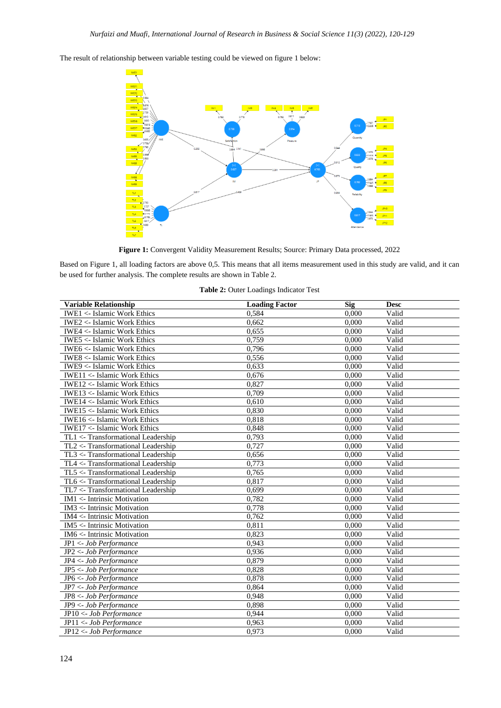The result of relationship between variable testing could be viewed on figure 1 below:

**Figure 1:** Convergent Validity Measurement Results; Source: Primary Data processed, 2022

Based on Figure 1, all loading factors are above 0,5. This means that all items measurement used in this study are valid, and it can be used for further analysis. The complete results are shown in Table 2.

| <b>Variable Relationship</b>                    | <b>Loading Factor</b> | Sig   | <b>Desc</b> |
|-------------------------------------------------|-----------------------|-------|-------------|
| <b>IWE1 &lt;- Islamic Work Ethics</b>           | 0,584                 | 0,000 | Valid       |
| <b>IWE2 &lt;- Islamic Work Ethics</b>           | 0,662                 | 0,000 | Valid       |
| IWE4 <- Islamic Work Ethics                     | 0,655                 | 0,000 | Valid       |
| <b>IWE5</b> <- Islamic Work Ethics              | 0.759                 | 0.000 | Valid       |
| <b>IWE6</b> <- Islamic Work Ethics              | 0.796                 | 0.000 | Valid       |
| <b>IWE8</b> <- Islamic Work Ethics              | 0,556                 | 0,000 | Valid       |
| IWE9 <- Islamic Work Ethics                     | 0,633                 | 0,000 | Valid       |
| <b>IWE11 &lt;- Islamic Work Ethics</b>          | 0,676                 | 0.000 | Valid       |
| <b>IWE12 &lt;- Islamic Work Ethics</b>          | 0,827                 | 0,000 | Valid       |
| <b>IWE13 &lt;- Islamic Work Ethics</b>          | 0,709                 | 0,000 | Valid       |
| $IWE14 \leftarrow Islamic Work Ethics$          | 0,610                 | 0.000 | Valid       |
| <b>IWE15 &lt;&lt; Islamic Work Ethics</b>       | 0,830                 | 0,000 | Valid       |
| <b>IWE16 &lt;- Islamic Work Ethics</b>          | 0,818                 | 0,000 | Valid       |
| <b>IWE17 &lt;- Islamic Work Ethics</b>          | 0,848                 | 0,000 | Valid       |
| TL1 <- Transformational Leadership              | 0,793                 | 0.000 | Valid       |
| TL2 <- Transformational Leadership              | 0,727                 | 0.000 | Valid       |
| TL3 <- Transformational Leadership              | 0,656                 | 0,000 | Valid       |
| TL4 <- Transformational Leadership              | 0,773                 | 0.000 | Valid       |
| TL5 <- Transformational Leadership              | 0,765                 | 0.000 | Valid       |
| TL6 <- Transformational Leadership              | 0,817                 | 0,000 | Valid       |
| TL7 <- Transformational Leadership              | 0,699                 | 0,000 | Valid       |
| $IM1 \leq Intrinsic Motivation$                 | 0,782                 | 0.000 | Valid       |
| IM3 <- Intrinsic Motivation                     | 0,778                 | 0,000 | Valid       |
| $\overline{\text{IM4}}$ <- Intrinsic Motivation | 0,762                 | 0,000 | Valid       |
| $IM5 <$ - Intrinsic Motivation                  | 0.811                 | 0.000 | Valid       |
| IM6 <- Intrinsic Motivation                     | 0.823                 | 0.000 | Valid       |
| JP1 <- Job Performance                          | 0.943                 | 0.000 | Valid       |
| $JP2 < -Job$ Performance                        | 0,936                 | 0,000 | Valid       |
| JP4 <- Job Performance                          | 0,879                 | 0,000 | Valid       |
| JP5 <- Job Performance                          | 0,828                 | 0,000 | Valid       |
| JP6 <- Job Performance                          | 0,878                 | 0,000 | Valid       |
| JP7 <- Job Performance                          | 0,864                 | 0.000 | Valid       |
| JP8 <- Job Performance                          | 0,948                 | 0.000 | Valid       |
| JP9 <- Job Performance                          | 0,898                 | 0,000 | Valid       |
| JP10 <- Job Performance                         | 0,944                 | 0,000 | Valid       |
| JP11 <- Job Performance                         | 0,963                 | 0,000 | Valid       |
| JP12 <- Job Performance                         | 0.973                 | 0.000 | Valid       |

**Table 2:** Outer Loadings Indicator Test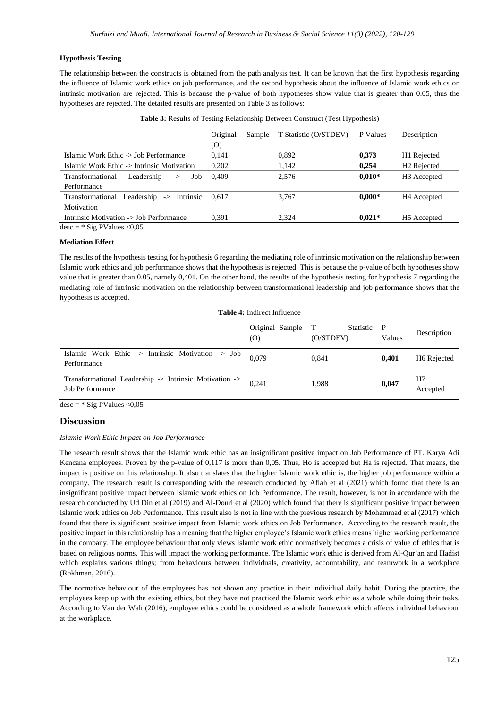## **Hypothesis Testing**

The relationship between the constructs is obtained from the path analysis test. It can be known that the first hypothesis regarding the influence of Islamic work ethics on job performance, and the second hypothesis about the influence of Islamic work ethics on intrinsic motivation are rejected. This is because the p-value of both hypotheses show value that is greater than 0.05, thus the hypotheses are rejected. The detailed results are presented on Table 3 as follows:

|                                                        | Original | T Statistic (O/STDEV)<br>Sample |       | P Values | Description             |  |
|--------------------------------------------------------|----------|---------------------------------|-------|----------|-------------------------|--|
|                                                        | (0)      |                                 |       |          |                         |  |
| Islamic Work Ethic -> Job Performance                  | 0,141    |                                 | 0,892 | 0,373    | H1 Rejected             |  |
| Islamic Work Ethic -> Intrinsic Motivation             | 0,202    |                                 | 1,142 | 0.254    | H <sub>2</sub> Rejected |  |
| Transformational<br>Leadership<br>Job<br>$\rightarrow$ | 0.409    |                                 | 2.576 | $0.010*$ | H <sub>3</sub> Accepted |  |
| Performance                                            |          |                                 |       |          |                         |  |
| Leadership -> Intrinsic<br>Transformational            | 0.617    |                                 | 3,767 | $0.000*$ | H <sub>4</sub> Accepted |  |
| Motivation                                             |          |                                 |       |          |                         |  |
| Intrinsic Motivation -> Job Performance                | 0.391    |                                 | 2.324 | $0.021*$ | H <sub>5</sub> Accepted |  |
| $desc = * Sig PValues < 0.05$                          |          |                                 |       |          |                         |  |

### **Mediation Effect**

The results of the hypothesis testing for hypothesis 6 regarding the mediating role of intrinsic motivation on the relationship between Islamic work ethics and job performance shows that the hypothesis is rejected. This is because the p-value of both hypotheses show value that is greater than 0.05, namely 0,401. On the other hand, the results of the hypothesis testing for hypothesis 7 regarding the mediating role of intrinsic motivation on the relationship between transformational leadership and job performance shows that the hypothesis is accepted.

**Table 4:** Indirect Influence

|                                                                           | Original Sample<br>(0) | Statistic<br>T<br>(O/STDEV) | $\mathbf{P}$<br>Values | Description             |
|---------------------------------------------------------------------------|------------------------|-----------------------------|------------------------|-------------------------|
| Islamic Work Ethic -> Intrinsic Motivation -> Job<br>Performance          | 0.079                  | 0.841                       | 0.401                  | H <sub>6</sub> Rejected |
| Transformational Leadership -> Intrinsic Motivation -><br>Job Performance | 0.241                  | 1.988                       | 0,047                  | H7<br>Accepted          |

 $\overline{\text{desc}}$  = \* Sig PValues <0,05

# **Discussion**

*Islamic Work Ethic Impact on Job Performance* 

The research result shows that the Islamic work ethic has an insignificant positive impact on Job Performance of PT. Karya Adi Kencana employees. Proven by the p-value of 0,117 is more than 0,05. Thus, Ho is accepted but Ha is rejected. That means, the impact is positive on this relationship. It also translates that the higher Islamic work ethic is, the higher job performance within a company. The research result is corresponding with the research conducted by Aflah et al (2021) which found that there is an insignificant positive impact between Islamic work ethics on Job Performance. The result, however, is not in accordance with the research conducted by Ud Din et al (2019) and Al-Douri et al (2020) which found that there is significant positive impact between Islamic work ethics on Job Performance. This result also is not in line with the previous research by Mohammad et al (2017) which found that there is significant positive impact from Islamic work ethics on Job Performance. According to the research result, the positive impact in this relationship has a meaning that the higher employee's Islamic work ethics means higher working performance in the company. The employee behaviour that only views Islamic work ethic normatively becomes a crisis of value of ethics that is based on religious norms. This will impact the working performance. The Islamic work ethic is derived from Al-Qur'an and Hadist which explains various things; from behaviours between individuals, creativity, accountability, and teamwork in a workplace (Rokhman, 2016).

The normative behaviour of the employees has not shown any practice in their individual daily habit. During the practice, the employees keep up with the existing ethics, but they have not practiced the Islamic work ethic as a whole while doing their tasks. According to Van der Walt (2016), employee ethics could be considered as a whole framework which affects individual behaviour at the workplace.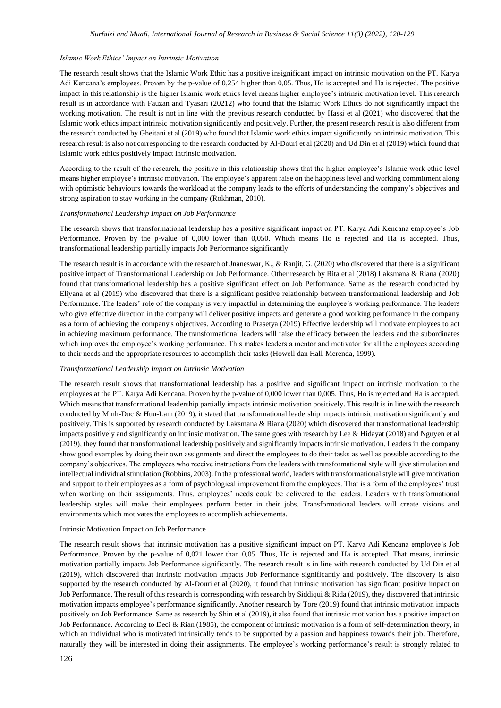#### *Islamic Work Ethics' Impact on Intrinsic Motivation*

The research result shows that the Islamic Work Ethic has a positive insignificant impact on intrinsic motivation on the PT. Karya Adi Kencana's employees. Proven by the p-value of 0,254 higher than 0,05. Thus, Ho is accepted and Ha is rejected. The positive impact in this relationship is the higher Islamic work ethics level means higher employee's intrinsic motivation level. This research result is in accordance with Fauzan and Tyasari (20212) who found that the Islamic Work Ethics do not significantly impact the working motivation. The result is not in line with the previous research conducted by Hassi et al (2021) who discovered that the Islamic work ethics impact intrinsic motivation significantly and positively. Further, the present research result is also different from the research conducted by Gheitani et al (2019) who found that Islamic work ethics impact significantly on intrinsic motivation. This research result is also not corresponding to the research conducted by Al-Douri et al (2020) and Ud Din et al (2019) which found that Islamic work ethics positively impact intrinsic motivation.

According to the result of the research, the positive in this relationship shows that the higher employee's Islamic work ethic level means higher employee's intrinsic motivation. The employee's apparent raise on the happiness level and working commitment along with optimistic behaviours towards the workload at the company leads to the efforts of understanding the company's objectives and strong aspiration to stay working in the company (Rokhman, 2010).

#### *Transformational Leadership Impact on Job Performance*

The research shows that transformational leadership has a positive significant impact on PT. Karya Adi Kencana employee's Job Performance. Proven by the p-value of 0,000 lower than 0,050. Which means Ho is rejected and Ha is accepted. Thus, transformational leadership partially impacts Job Performance significantly.

The research result is in accordance with the research of Jnaneswar, K., & Ranjit, G. (2020) who discovered that there is a significant positive impact of Transformational Leadership on Job Performance. Other research by Rita et al (2018) Laksmana & Riana (2020) found that transformational leadership has a positive significant effect on Job Performance. Same as the research conducted by Eliyana et al (2019) who discovered that there is a significant positive relationship between transformational leadership and Job Performance. The leaders' role of the company is very impactful in determining the employee's working performance. The leaders who give effective direction in the company will deliver positive impacts and generate a good working performance in the company as a form of achieving the company's objectives. According to Prasetya (2019) Effective leadership will motivate employees to act in achieving maximum performance. The transformational leaders will raise the efficacy between the leaders and the subordinates which improves the employee's working performance. This makes leaders a mentor and motivator for all the employees according to their needs and the appropriate resources to accomplish their tasks (Howell dan Hall-Merenda, 1999).

#### *Transformational Leadership Impact on Intrinsic Motivation*

The research result shows that transformational leadership has a positive and significant impact on intrinsic motivation to the employees at the PT. Karya Adi Kencana. Proven by the p-value of 0,000 lower than 0,005. Thus, Ho is rejected and Ha is accepted. Which means that transformational leadership partially impacts intrinsic motivation positively. This result is in line with the research conducted by Minh-Duc & Huu-Lam (2019), it stated that transformational leadership impacts intrinsic motivation significantly and positively. This is supported by research conducted by Laksmana & Riana (2020) which discovered that transformational leadership impacts positively and significantly on intrinsic motivation. The same goes with research by Lee & Hidayat (2018) and Nguyen et al (2019), they found that transformational leadership positively and significantly impacts intrinsic motivation. Leaders in the company show good examples by doing their own assignments and direct the employees to do their tasks as well as possible according to the company's objectives. The employees who receive instructions from the leaders with transformational style will give stimulation and intellectual individual stimulation (Robbins, 2003). In the professional world, leaders with transformational style will give motivation and support to their employees as a form of psychological improvement from the employees. That is a form of the employees' trust when working on their assignments. Thus, employees' needs could be delivered to the leaders. Leaders with transformational leadership styles will make their employees perform better in their jobs. Transformational leaders will create visions and environments which motivates the employees to accomplish achievements.

#### Intrinsic Motivation Impact on Job Performance

The research result shows that intrinsic motivation has a positive significant impact on PT. Karya Adi Kencana employee's Job Performance. Proven by the p-value of 0,021 lower than 0,05. Thus, Ho is rejected and Ha is accepted. That means, intrinsic motivation partially impacts Job Performance significantly. The research result is in line with research conducted by Ud Din et al (2019), which discovered that intrinsic motivation impacts Job Performance significantly and positively. The discovery is also supported by the research conducted by Al-Douri et al (2020), it found that intrinsic motivation has significant positive impact on Job Performance. The result of this research is corresponding with research by Siddiqui & Rida (2019), they discovered that intrinsic motivation impacts employee's performance significantly. Another research by Tore (2019) found that intrinsic motivation impacts positively on Job Performance. Same as research by Shin et al (2019), it also found that intrinsic motivation has a positive impact on Job Performance. According to Deci & Rian (1985), the component of intrinsic motivation is a form of self-determination theory, in which an individual who is motivated intrinsically tends to be supported by a passion and happiness towards their job. Therefore, naturally they will be interested in doing their assignments. The employee's working performance's result is strongly related to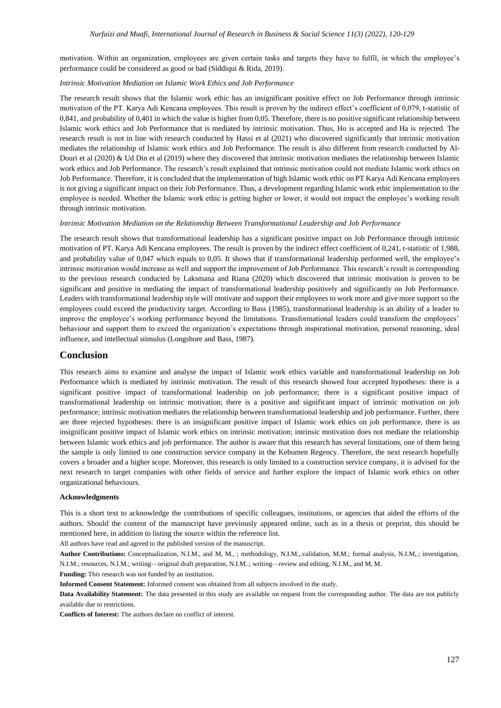motivation. Within an organization, employees are given certain tasks and targets they have to fulfil, in which the employee's performance could be considered as good or bad (Siddiqui & Rida, 2019).

#### *Intrinsic Motivation Mediation on Islamic Work Ethics and Job Performance*

The research result shows that the Islamic work ethic has an insignificant positive effect on Job Performance through intrinsic motivation of the PT. Karya Adi Kencana employees. This result is proven by the indirect effect's coefficient of 0,079, t-statistic of 0,841, and probability of 0,401 in which the value is higher from 0,05. Therefore, there is no positive significant relationship between Islamic work ethics and Job Performance that is mediated by intrinsic motivation. Thus, Ho is accepted and Ha is rejected. The research result is not in line with research conducted by Hassi et al (2021) who discovered significantly that intrinsic motivation mediates the relationship of Islamic work ethics and Job Performance. The result is also different from research conducted by Al-Douri et al (2020)  $&$  Ud Din et al (2019) where they discovered that intrinsic motivation mediates the relationship between Islamic work ethics and Job Performance. The research's result explained that intrinsic motivation could not mediate Islamic work ethics on Job Performance. Therefore, it is concluded that the implementation of high Islamic work ethic on PT Karya Adi Kencana employees is not giving a significant impact on their Job Performance. Thus, a development regarding Islamic work ethic implementation to the employee is needed. Whether the Islamic work ethic is getting higher or lower, it would not impact the employee's working result through intrinsic motivation.

#### *Intrinsic Motivation Mediation on the Relationship Between Transformational Leadership and Job Performance*

The research result shows that transformational leadership has a significant positive impact on Job Performance through intrinsic motivation of PT. Karya Adi Kencana employees. The result is proven by the indirect effect coefficient of 0,241, t-statistic of 1,988, and probability value of 0,047 which equals to 0,05. It shows that if transformational leadership performed well, the employee's intrinsic motivation would increase as well and support the improvement of Job Performance. This research's result is corresponding to the previous research conducted by Laksmana and Riana (2020) which discovered that intrinsic motivation is proven to be significant and positive in mediating the impact of transformational leadership positively and significantly on Job Performance. Leaders with transformational leadership style will motivate and support their employees to work more and give more support so the employees could exceed the productivity target. According to Bass (1985), transformational leadership is an ability of a leader to improve the employee's working performance beyond the limitations. Transformational leaders could transform the employees' behaviour and support them to exceed the organization's expectations through inspirational motivation, personal reasoning, ideal influence, and intellectual stimulus (Longshore and Bass, 1987).

## **Conclusion**

This research aims to examine and analyse the impact of Islamic work ethics variable and transformational leadership on Job Performance which is mediated by intrinsic motivation. The result of this research showed four accepted hypotheses: there is a significant positive impact of transformational leadership on job performance; there is a significant positive impact of transformational leadership on intrinsic motivation; there is a positive and significant impact of intrinsic motivation on job performance; intrinsic motivation mediates the relationship between transformational leadership and job performance. Further, there are three rejected hypotheses: there is an insignificant positive impact of Islamic work ethics on job performance, there is an insignificant positive impact of Islamic work ethics on intrinsic motivation; intrinsic motivation does not mediate the relationship between Islamic work ethics and job performance. The author is aware that this research has several limitations, one of them being the sample is only limited to one construction service company in the Kebumen Regency. Therefore, the next research hopefully covers a broader and a higher scope. Moreover, this research is only limited to a construction service company, it is advised for the next research to target companies with other fields of service and further explore the impact of Islamic work ethics on other organizational behaviours.

#### **Acknowledgments**

This is a short text to acknowledge the contributions of specific colleagues, institutions, or agencies that aided the efforts of the authors. Should the content of the manuscript have previously appeared online, such as in a thesis or preprint, this should be mentioned here, in addition to listing the source within the reference list.

All authors have read and agreed to the published version of the manuscript.

**Author Contributions:** Conceptualization, N.I.M., and M, M., ; methodology, N.I.M.,.validation, M.M.; formal analysis, N.I.M,.; investigation, N.I.M.; resources, N.I.M.; writing—original draft preparation, N.I.M..; writing—review and editing, N.I.M., and M, M.

**Funding:** This research was not funded by an institution.

**Informed Consent Statement:** Informed consent was obtained from all subjects involved in the study.

**Data Availability Statement:** The data presented in this study are available on request from the corresponding author. The data are not publicly available due to restrictions.

**Conflicts of Interest:** The authors declare no conflict of interest.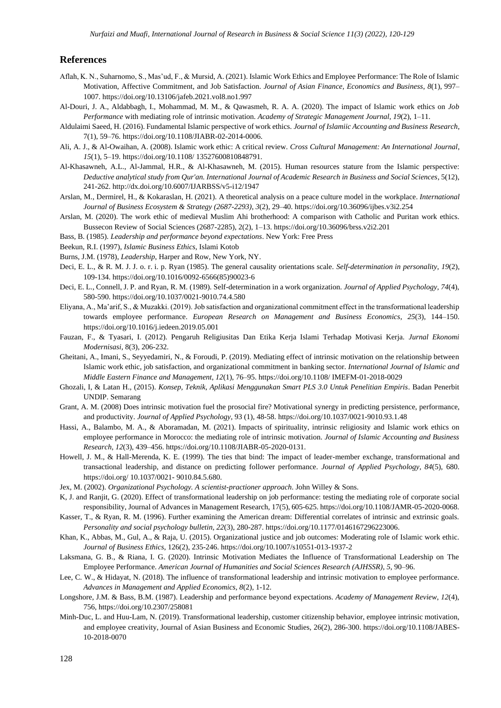# **References**

- Aflah, K. N., Suharnomo, S., Mas'ud, F., & Mursid, A. (2021). Islamic Work Ethics and Employee Performance: The Role of Islamic Motivation, Affective Commitment, and Job Satisfaction. *Journal of Asian Finance, Economics and Business*, *8*(1), 997– 1007.<https://doi.org/10.13106/jafeb.2021.vol8.no1.997>
- Al-Douri, J. A., Aldabbagh, I., Mohammad, M. M., & Qawasmeh, R. A. A. (2020). The impact of Islamic work ethics on *Job Performance* with mediating role of intrinsic motivation. *Academy of Strategic Management Journal*, *19*(2), 1–11.
- Aldulaimi Saeed, H. (2016). Fundamental Islamic perspective of work ethics. *Journal of Islamiic Accounting and Business Research*, 7(1), 59–76[. https://doi.org/10.1108/JIABR-02-2014-0006.](https://doi.org/10.1108/JIABR-02-2014-0006)
- Ali, A. J., & Al-Owaihan, A. (2008). Islamic work ethic: A critical review. *Cross Cultural Management: An International Journal*, *15*(1), 5–19[. https://doi.org/10.1108/ 13527600810848791.](https://doi.org/10.1108/%2013527600810848791)
- Al-Khasawneh, A.L., Al-Jammal, H.R., & Al-Khasawneh, M. (2015). Human resources stature from the Islamic perspective: *Deductive analytical study from Qur'an. International Journal of Academic Research in Business and Social Sciences*, 5(12), 241-262.<http://dx.doi.org/10.6007/IJARBSS/v5-i12/1947>
- Arslan, M., Dermirel, H., & Kokaraslan, H. (2021). A theoretical analysis on a peace culture model in the workplace. *International Journal of Business Ecosystem & Strategy (2687-2293)*, *3*(2), 29–40[. https://doi.org/10.36096/ijbes.v3i2.254](https://doi.org/10.36096/ijbes.v3i2.254)
- Arslan, M. (2020). The work ethic of medieval Muslim Ahi brotherhood: A comparison with Catholic and Puritan work ethics. Bussecon Review of Social Sciences (2687-2285), 2(2), 1–13. https://doi.org/10.36096/brss.v2i2.201
- Bass, B. (1985). *Leadership and performance beyond expectations*. New York: Free Press
- Beekun, R.I. (1997), *Islamic Business Ethics*, Islami Kotob
- Burns, J.M. (1978), *Leadership*, Harper and Row, New York, NY.
- Deci, E. L., & R. M. J. J. o. r. i. p. Ryan (1985). The general causality orientations scale. *Self-determination in personality*, *19*(2), 109-134. https://doi.org/10.1016/0092-6566(85)90023-6
- Deci, E. L., Connell, J. P. and Ryan, R. M. (1989). Self-determination in a work organization. *Journal of Applied Psychology*, *74*(4), 580-590. https://doi.org/10.1037/0021-9010.74.4.580
- Eliyana, A., Ma'arif, S., & Muzakki. (2019). Job satisfaction and organizational commitment effect in the transformational leadership towards employee performance. *European Research on Management and Business Economics*, *25*(3), 144–150. <https://doi.org/10.1016/j.iedeen.2019.05.001>
- Fauzan, F., & Tyasari, I. (2012). Pengaruh Religiusitas Dan Etika Kerja Islami Terhadap Motivasi Kerja. *Jurnal Ekonomi Modernisasi*, 8(3), 206-232.
- Gheitani, A., Imani, S., Seyyedamiri, N., & Foroudi, P. (2019). Mediating effect of intrinsic motivation on the relationship between Islamic work ethic, job satisfaction, and organizational commitment in banking sector. *International Journal of Islamic and Middle Eastern Finance and Management*, *12*(1), 76–95[. https://doi.org/10.1108/ IMEFM-01-2018-0029](https://doi.org/10.1108/%20IMEFM-01-2018-0029)
- Ghozali, I, & Latan H., (2015). *Konsep, Teknik, Aplikasi Menggunakan Smart PLS 3.0 Untuk Penelitian Empiris*. Badan Penerbit UNDIP. Semarang
- Grant, A. M. (2008) Does intrinsic motivation fuel the prosocial fire? Motivational synergy in predicting persistence, performance, and productivity. *Journal of Applied Psychology*, 93 (1), 48-58. https://doi.org/10.1037/0021-9010.93.1.48
- Hassi, A., Balambo, M. A., & Aboramadan, M. (2021). Impacts of spirituality, intrinsic religiosity and Islamic work ethics on employee performance in Morocco: the mediating role of intrinsic motivation. *Journal of Islamic Accounting and Business Research*, *12*(3), 439–456[. https://doi.org/10.1108/JIABR-05-2020-0131.](https://doi.org/10.1108/JIABR-05-2020-0131)
- Howell, J. M., & Hall-Merenda, K. E. (1999). The ties that bind: The impact of leader-member exchange, transformational and transactional leadership, and distance on predicting follower performance. *Journal of Applied Psychology, 84*(5), 680. <https://doi.org/> 10.1037/0021- 9010.84.5.680.
- Jex, M. (2002). *Organizational Psychology. A scientist-practioner approach*. John Willey & Sons.
- K, J. and Ranjit, G. (2020). Effect of transformational leadership on job performance: testing the mediating role of corporate social responsibility, Journal of Advances in Management Research, 17(5), 605-625. https://doi.org/10.1108/JAMR-05-2020-0068.
- Kasser, T., & Ryan, R. M. (1996). Further examining the American dream: Differential correlates of intrinsic and extrinsic goals. *Personality and social psychology bulletin, 22*(3), 280-287[. https://doi.org/10.1177/0146167296223006.](https://doi.org/10.1177/0146167296223006)
- Khan, K., Abbas, M., Gul, A., & Raja, U. (2015). Organizational justice and job outcomes: Moderating role of Islamic work ethic. *Journal of Business Ethics*, 126(2), 235-246[. https://doi.org/10.1007/s10551-013-1937-2](https://doi.org/10.1007/s10551-013-1937-2)
- Laksmana, G. B., & Riana, I. G. (2020). Intrinsic Motivation Mediates the Influence of Transformational Leadership on The Employee Performance. *American Journal of Humanities and Social Sciences Research (AJHSSR)*, *5*, 90–96.
- Lee, C. W., & Hidayat, N. (2018). The influence of transformational leadership and intrinsic motivation to employee performance. *Advances in Management and Applied Economics, 8*(2), 1-12.
- Longshore, J.M. & Bass, B.M. (1987). Leadership and performance beyond expectations. *Academy of Management Review*, *12*(4), 756, https://doi.org/10.2307/258081
- Minh-Duc, L. and Huu-Lam, N. (2019). Transformational leadership, customer citizenship behavior, employee intrinsic motivation, and employee creativity, Journal of Asian Business and Economic Studies, 26(2), 286-300. https://doi.org/10.1108/JABES-10-2018-0070